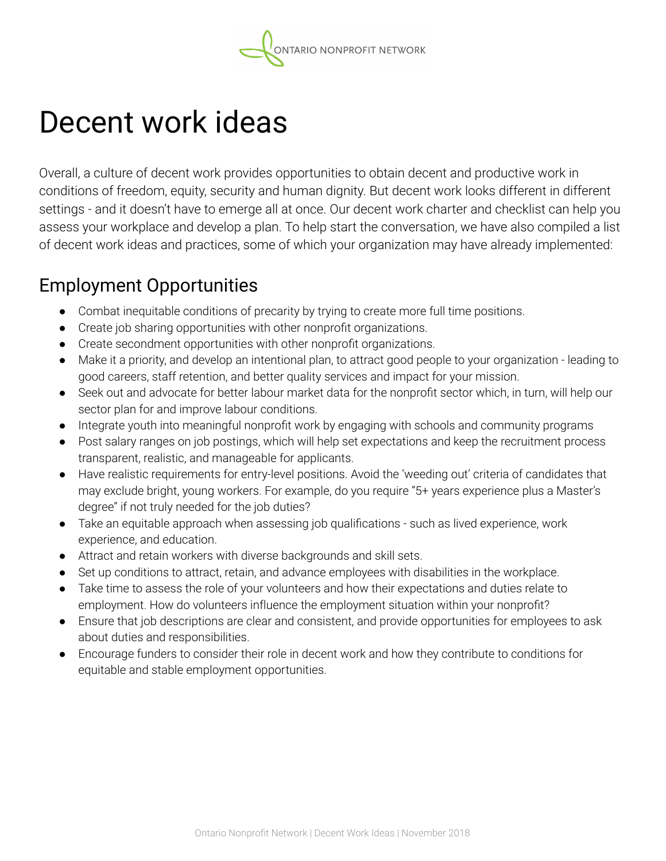# Decent work ideas

Overall, a culture of decent work provides opportunities to obtain decent and productive work in conditions of freedom, equity, security and human dignity. But decent work looks different in different settings - and it doesn't have to emerge all at once. Our decent work charter and checklist can help you assess your workplace and develop a plan. To help start the conversation, we have also compiled a list of decent work ideas and practices, some of which your organization may have already implemented:

#### Employment Opportunities

- Combat inequitable conditions of precarity by trying to create more full time positions.
- Create job sharing opportunities with other nonprofit organizations.
- Create secondment opportunities with other nonprofit organizations.
- Make it a priority, and develop an intentional plan, to attract good people to your organization leading to good careers, staff retention, and better quality services and impact for your mission.
- Seek out and advocate for better labour market data for the nonprofit sector which, in turn, will help our sector plan for and improve labour conditions.
- Integrate youth into meaningful nonprofit work by engaging with schools and community programs
- Post salary ranges on job postings, which will help set expectations and keep the recruitment process transparent, realistic, and manageable for applicants.
- Have realistic requirements for entry-level positions. Avoid the 'weeding out' criteria of candidates that may exclude bright, young workers. For example, do you require "5+ years experience plus a Master's degree" if not truly needed for the job duties?
- Take an equitable approach when assessing job qualifications such as lived experience, work experience, and education.
- Attract and retain workers with diverse backgrounds and skill sets.
- Set up conditions to attract, retain, and advance employees with disabilities in the workplace.
- Take time to assess the role of your volunteers and how their expectations and duties relate to employment. How do volunteers influence the employment situation within your nonprofit?
- Ensure that job descriptions are clear and consistent, and provide opportunities for employees to ask about duties and responsibilities.
- Encourage funders to consider their role in decent work and how they contribute to conditions for equitable and stable employment opportunities.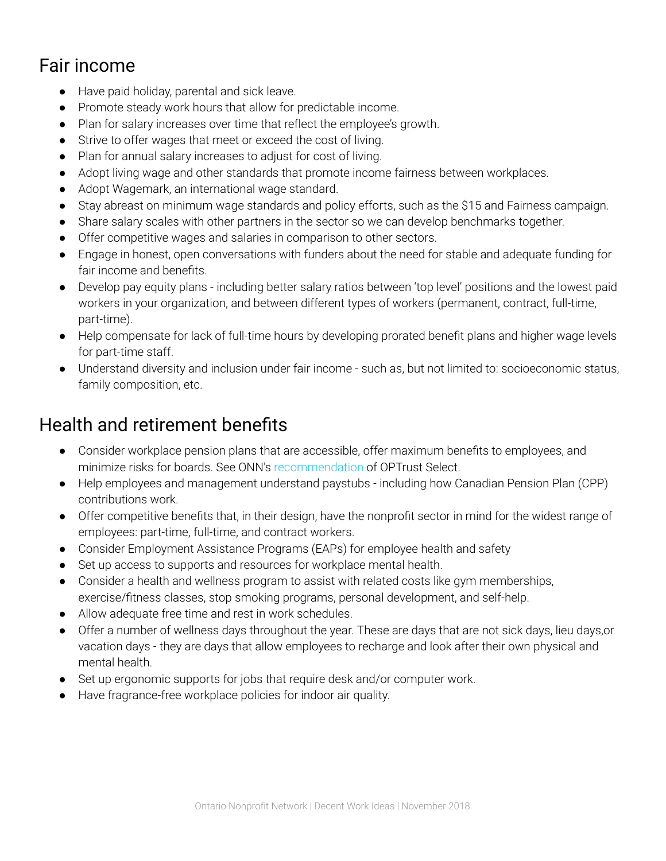## Fair income

- Have paid holiday, parental and sick leave.
- Promote steady work hours that allow for predictable income.
- Plan for salary increases over time that reflect the employee's growth.
- Strive to offer wages that meet or exceed the cost of living.
- Plan for annual salary increases to adjust for cost of living.
- Adopt living wage and other standards that promote income fairness between workplaces.
- Adopt Wagemark, an international wage standard.
- Stay abreast on minimum wage standards and policy efforts, such as the \$15 and Fairness campaign.
- Share salary scales with other partners in the sector so we can develop benchmarks together.
- Offer competitive wages and salaries in comparison to other sectors.
- Engage in honest, open conversations with funders about the need for stable and adequate funding for fair income and benefits.
- Develop pay equity plans including better salary ratios between 'top level' positions and the lowest paid workers in your organization, and between different types of workers (permanent, contract, full-time, part-time).
- Help compensate for lack of full-time hours by developing prorated benefit plans and higher wage levels for part-time staff.
- Understand diversity and inclusion under fair income such as, but not limited to: socioeconomic status, family composition, etc.

#### Health and retirement benefits

- Consider workplace pension plans that are accessible, offer maximum benefits to employees, and minimize risks for boards. See ONN's [recommendation](http://theonn.ca/pensions) of OPTrust Select.
- Help employees and management understand paystubs including how Canadian Pension Plan (CPP) contributions work.
- Offer competitive benefits that, in their design, have the nonprofit sector in mind for the widest range of employees: part-time, full-time, and contract workers.
- Consider Employment Assistance Programs (EAPs) for employee health and safety
- Set up access to supports and resources for workplace mental health.
- Consider a health and wellness program to assist with related costs like gym memberships, exercise/fitness classes, stop smoking programs, personal development, and self-help.
- Allow adequate free time and rest in work schedules.
- Offer a number of wellness days throughout the year. These are days that are not sick days, lieu days,or vacation days - they are days that allow employees to recharge and look after their own physical and mental health.
- Set up ergonomic supports for jobs that require desk and/or computer work.
- Have fragrance-free workplace policies for indoor air quality.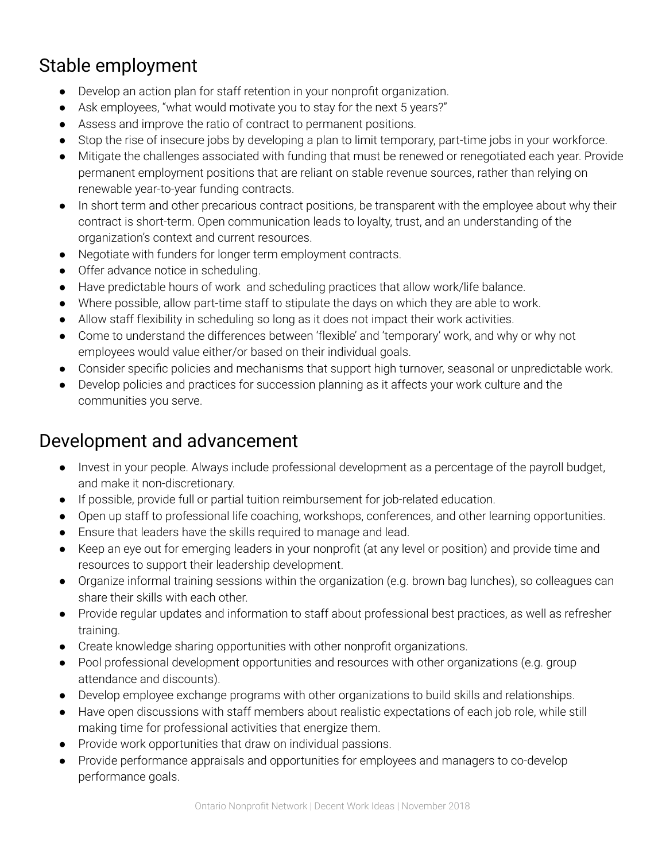## Stable employment

- Develop an action plan for staff retention in your nonprofit organization.
- Ask employees, "what would motivate you to stay for the next 5 years?"
- Assess and improve the ratio of contract to permanent positions.
- Stop the rise of insecure jobs by developing a plan to limit temporary, part-time jobs in your workforce.
- Mitigate the challenges associated with funding that must be renewed or renegotiated each year. Provide permanent employment positions that are reliant on stable revenue sources, rather than relying on renewable year-to-year funding contracts.
- In short term and other precarious contract positions, be transparent with the employee about why their contract is short-term. Open communication leads to loyalty, trust, and an understanding of the organization's context and current resources.
- Negotiate with funders for longer term employment contracts.
- Offer advance notice in scheduling.
- Have predictable hours of work and scheduling practices that allow work/life balance.
- Where possible, allow part-time staff to stipulate the days on which they are able to work.
- Allow staff flexibility in scheduling so long as it does not impact their work activities.
- Come to understand the differences between 'flexible' and 'temporary' work, and why or why not employees would value either/or based on their individual goals.
- Consider specific policies and mechanisms that support high turnover, seasonal or unpredictable work.
- Develop policies and practices for succession planning as it affects your work culture and the communities you serve.

#### Development and advancement

- Invest in your people. Always include professional development as a percentage of the payroll budget, and make it non-discretionary.
- If possible, provide full or partial tuition reimbursement for job-related education.
- Open up staff to professional life coaching, workshops, conferences, and other learning opportunities.
- Ensure that leaders have the skills required to manage and lead.
- Keep an eye out for emerging leaders in your nonprofit (at any level or position) and provide time and resources to support their leadership development.
- Organize informal training sessions within the organization (e.g. brown bag lunches), so colleagues can share their skills with each other.
- Provide regular updates and information to staff about professional best practices, as well as refresher training.
- Create knowledge sharing opportunities with other nonprofit organizations.
- Pool professional development opportunities and resources with other organizations (e.g. group attendance and discounts).
- Develop employee exchange programs with other organizations to build skills and relationships.
- Have open discussions with staff members about realistic expectations of each job role, while still making time for professional activities that energize them.
- Provide work opportunities that draw on individual passions.
- Provide performance appraisals and opportunities for employees and managers to co-develop performance goals.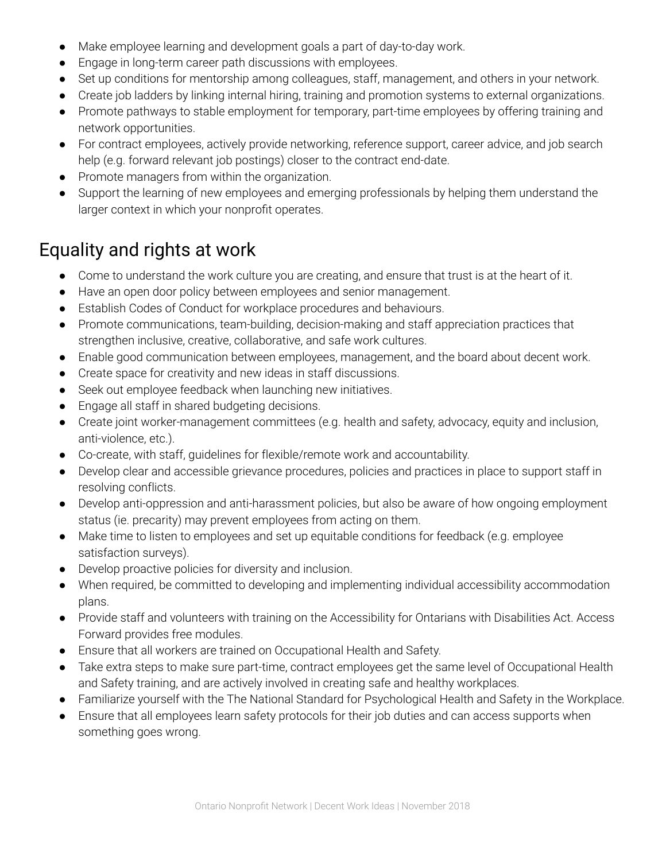- Make employee learning and development goals a part of day-to-day work.
- Engage in long-term career path discussions with employees.
- Set up conditions for mentorship among colleagues, staff, management, and others in your network.
- Create job ladders by linking internal hiring, training and promotion systems to external organizations.
- Promote pathways to stable employment for temporary, part-time employees by offering training and network opportunities.
- For contract employees, actively provide networking, reference support, career advice, and job search help (e.g. forward relevant job postings) closer to the contract end-date.
- Promote managers from within the organization.
- Support the learning of new employees and emerging professionals by helping them understand the larger context in which your nonprofit operates.

## Equality and rights at work

- Come to understand the work culture you are creating, and ensure that trust is at the heart of it.
- Have an open door policy between employees and senior management.
- Establish Codes of Conduct for workplace procedures and behaviours.
- Promote communications, team-building, decision-making and staff appreciation practices that strengthen inclusive, creative, collaborative, and safe work cultures.
- Enable good communication between employees, management, and the board about decent work.
- Create space for creativity and new ideas in staff discussions.
- Seek out employee feedback when launching new initiatives.
- Engage all staff in shared budgeting decisions.
- Create joint worker-management committees (e.g. health and safety, advocacy, equity and inclusion, anti-violence, etc.).
- Co-create, with staff, guidelines for flexible/remote work and accountability.
- Develop clear and accessible grievance procedures, policies and practices in place to support staff in resolving conflicts.
- Develop anti-oppression and anti-harassment policies, but also be aware of how ongoing employment status (ie. precarity) may prevent employees from acting on them.
- Make time to listen to employees and set up equitable conditions for feedback (e.g. employee satisfaction surveys).
- Develop proactive policies for diversity and inclusion.
- When required, be committed to developing and implementing individual accessibility accommodation plans.
- Provide staff and volunteers with training on the Accessibility for Ontarians with Disabilities Act. Access Forward provides free modules.
- Ensure that all workers are trained on Occupational Health and Safety.
- Take extra steps to make sure part-time, contract employees get the same level of Occupational Health and Safety training, and are actively involved in creating safe and healthy workplaces.
- Familiarize yourself with the The National Standard for Psychological Health and Safety in the Workplace.
- Ensure that all employees learn safety protocols for their job duties and can access supports when something goes wrong.